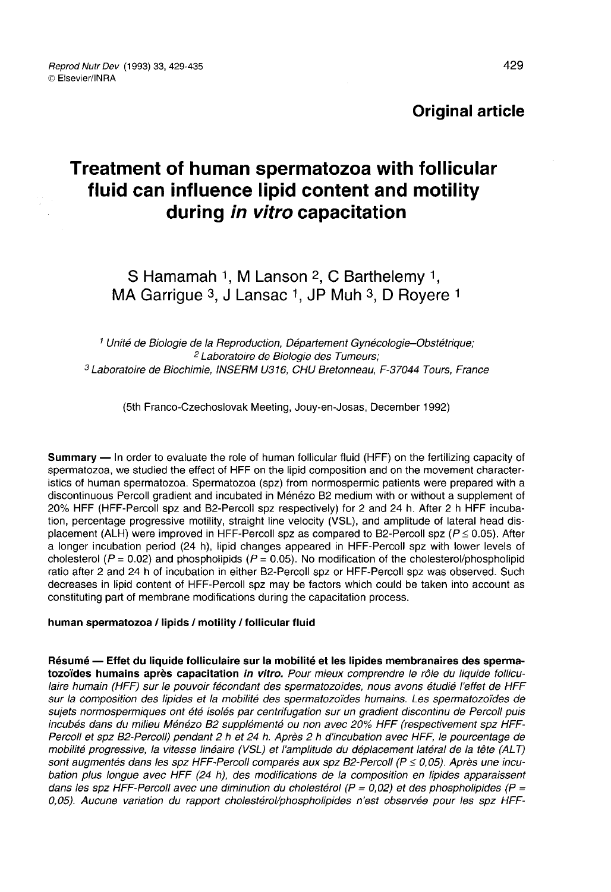# **Original article**

# Treatment of human spermatozoa with follicular fluid can influence lipid content and motility during in vitro capacitation

# S Hamamah 1, M Lanson  $2$ , C Barthelemy 1, MA Garrigue 3, J Lansac 1, JP Muh 3, D Royere 1

<sup>1</sup> Unité de Biologie de la Reproduction, Département Gynécologie-Obstétrique; <sup>2</sup> Laboratoire de Biologie des Tumeurs; <sup>3</sup> Laboratoire de Biochimie, INSERM U316, CHU Bretonneau, F-37044 Tours, France

(5th Franco-Czechoslovak Meeting, Jouy-en-Josas, December 1992)

Summary ― In order to evaluate the role of human follicular fluid (HFF) on the fertilizing capacity of spermatozoa, we studied the effect of HFF on the lipid composition and on the movement characteristics of human spermatozoa. Spermatozoa (spz) from normospermic patients were prepared with a discontinuous Percoll gradient and incubated in M6n6zo B2 medium with or without a supplement of 20% HFF (HFF-Percoll spz and B2-Percoll spz respectively) for 2 and 24 h. After 2 h HFF incubation, percentage progressive motility, straight line velocity (VSL), and amplitude of lateral head displacement (ALH) were improved in HFF-Percoll spz as compared to B2-Percoll spz ( $P \le 0.05$ ). After a longer incubation period (24 h), lipid changes appeared in HFF-Percoll spz with lower levels of cholesterol ( $P = 0.02$ ) and phospholipids ( $P = 0.05$ ). No modification of the cholesterol/phospholipid ratio after 2 and 24 h of incubation in either B2-Percoll spz or HFF-Percoll spz was observed. Such decreases in lipid content of HFF-Percoll spz may be factors which could be taken into account as constituting part of membrane modifications during the capacitation process.

#### human spermatozoa / lipids / motility / follicular fluid

Résumé ― Effet du liquide folliculaire sur la mobilité et les lipides membranaires des spermatozoïdes humains après capacitation in vitro. Pour mieux comprendre le rôle du liquide folliculaire humain (HFF) sur le pouvoir fécondant des spermatozoïdes, nous avons étudié l'effet de HFF sur la composition des lipides et la mobilité des spermatozoïdes humains. Les spermatozoïdes de sujets normospermiques ont été isolés par centrifugation sur un gradient discontinu de Percoll puis incubés dans du milieu Ménézo B2 supplémenté ou non avec 20% HFF (respectivement spz HFF-Percoll et spz B2-Percoit) pendant 2 h et 24 h. Après 2 h d'incubation avec HFF, le pourcentage de mobilité progressive, la vitesse linéaire (VSL) et l'amplitude du déplacement latéral de la tête (ALT)<br>sont augmentés dans les spz HFF-Percoll comparés aux spz B2-Percoll (P ≤ 0,05). Après une incubation plus longue avec HFF (24 h), des modifications de la composition en lipides apparaissent dans les spz HFF-Percoll avec une diminution du cholestérol ( $P = 0.02$ ) et des phospholipides ( $P =$ 0,05). Aucune variation du rapport cholestérol/phospholipides n'est observée pour les spz HFF-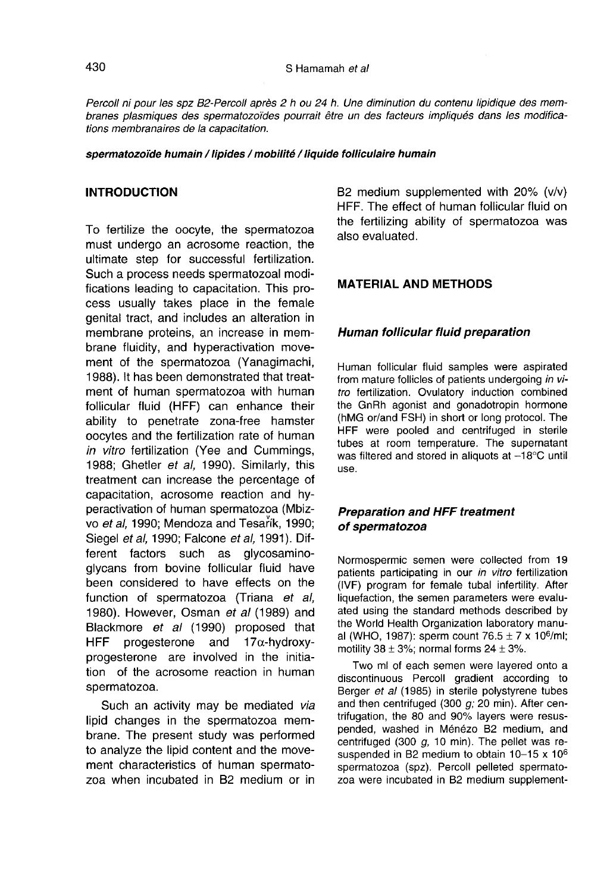Percoll ni pour les spz B2-Percoll après 2 h ou 24 h. Une diminution du contenu lipidique des membranes plasmiques des spermatozoïdes pourrait être un des facteurs impliqués dans les modifications membranaires de la capacitation.

#### spermatozoïde humain / lipides / mobilité / liquide folliculaire humain

### INTRODUCTION

To fertilize the oocyte, the spermatozoa must undergo an acrosome reaction, the ultimate step for successful fertilization. Such a process needs spermatozoal modifications leading to capacitation. This process usually takes place in the female genital tract, and includes an alteration in membrane proteins, an increase in membrane fluidity, and hyperactivation movement of the spermatozoa (Yanagimachi, 1988). It has been demonstrated that treatment of human spermatozoa with human follicular fluid (HFF) can enhance their ability to penetrate zona-free hamster oocytes and the fertilization rate of human in vitro fertilization (Yee and Cummings, 1988; Ghetler et al, 1990). Similarly, this treatment can increase the percentage of capacitation, acrosome reaction and hyperactivation of human spermatozoa (Mbiz vo et al, 1990; Mendoza and Tesarík, 1990; Siegel et al, 1990; Falcone et al, 1991). Different factors such as glycosaminoglycans from bovine follicular fluid have been considered to have effects on the function of spermatozoa (Triana et al, 1980). However, Osman et al (1989) and Blackmore et al (1990) proposed that HFF progesterone and  $17\alpha$ -hydroxyprogesterone are involved in the initiation of the acrosome reaction in human spermatozoa.

Such an activity may be mediated via lipid changes in the spermatozoa membrane. The present study was performed to analyze the lipid content and the movement characteristics of human spermato zoa when incubated in B2 medium or in

B2 medium supplemented with 20% (v/v) HFF. The effect of human follicular fluid on the fertilizing ability of spermatozoa was also evaluated.

#### MATERIAL AND METHODS

#### Human follicular fluid preparation

Human follicular fluid samples were aspirated from mature follicles of patients undergoing in vitro fertilization. Ovulatory induction combined the GnRh agonist and gonadotropin hormone (hMG or/and FSH) in short or long protocol. The HFF were pooled and centrifuged in sterile tubes at room temperature. The supernatant was filtered and stored in aliquots at  $-18^{\circ}$ C until use.

## Preparation and HFF treatment of spermatozoa

Normospermic semen were collected from 19 patients participating in our in vitro fertilization (IVF) program for female tubal infertility. After liquefaction, the semen parameters were evaluated using the standard methods described by the World Health Organization laboratory manual ated using the standard methods described by<br>the World Health Organization laboratory manu-<br>al (WHO, 1987): sperm count 76.5 ± 7 x 10<sup>6</sup>/ml;<br>motility 38 + 3%; normal forms 24 + 3% motility  $38 \pm 3\%$ ; normal forms  $24 \pm 3\%$ .

Two ml of each semen were layered onto a discontinuous Percoll gradient according to Berger et al (1985) in sterile polystyrene tubes and then centrifuged (300 g; 20 min). After centrifugation, the 80 and 90% layers were resuspended, washed in Ménézo B2 medium, and centrifuged (300  $q$ , 10 min). The pellet was resuspended in B2 medium to obtain  $10-15 \times 10^6$ spermatozoa (spz). Percoll pelleted spermato zoa were incubated in B2 medium supplement-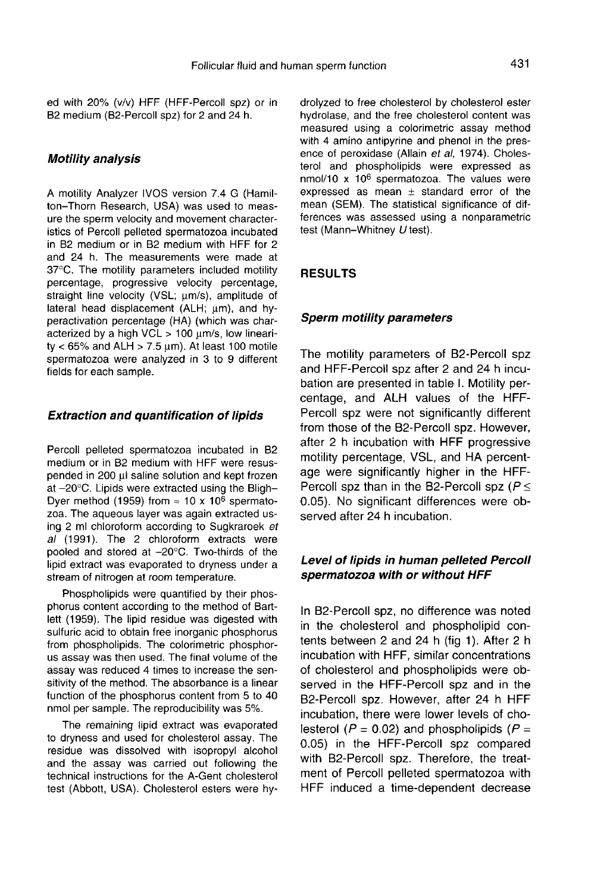ed with 20% (v/v) HFF (HFF-Percoll spz) or in B2 medium (B2-Percoll spz) for 2 and 24 h.

#### Motility analysis

A motility Analyzer IVOS version 7.4 G (Hamilton-Thorn Research, USA) was used to measure the sperm velocity and movement characteristics of Percoll pelleted spermatozoa incubated in B2 medium or in B2 medium with HFF for 2 and 24 h. The measurements were made at 37°C. The motility parameters included motility percentage, progressive velocity percentage, straight line velocity (VSL; wm/s), amplitude of lateral head displacement (ALH; um), and hyperactivation percentage (HA) (which was characterized by a high VCL  $> 100$  um/s, low linearity <  $65\%$  and ALH > 7.5  $\mu$ m). At least 100 motile spermatozoa were analyzed in 3 to 9 different fields for each sample.

#### Extraction and quantification of lipids

Percoll pelleted spermatozoa incubated in B2 medium or in B2 medium with HFF were resuspended in  $200 \mu l$  saline solution and kept frozen at  $-20^{\circ}$ C. Lipids were extracted using the Bligh-Dyer method (1959) from  $\approx$  10 x 10<sup>6</sup> spermato-<br>zoa. The aqueous layer was again extracted using 2 ml chloroform according to Sugkraroek et al (1991). The 2 chloroform extracts were pooled and stored at -20°C. Two-thirds of the lipid extract was evaporated to dryness under a stream of nitrogen at room temperature.

Phospholipids were quantified by their phosphorus content according to the method of Bartlett (1959). The lipid residue was digested with sulfuric acid to obtain free inorganic phosphorus from phospholipids. The colorimetric phosphor us assay was then used. The final volume of the assay was reduced 4 times to increase the sensitivity of the method. The absorbance is a linear function of the phosphorus content from 5 to 40 nmol per sample. The reproducibility was 5%.

The remaining lipid extract was evaporated to dryness and used for cholesterol assay. The residue was dissolved with isopropyl alcohol and the assay was carried out following the technical instructions for the A-Gent cholesterol test (Abbott, USA). Cholesterol esters were hydrolyzed to free cholesterol by cholesterol ester hydrolase, and the free cholesterol content was measured using a colorimetric assay method with 4 amino antipyrine and phenol in the presence of peroxidase (Allain et al, 1974). Cholesterol and phospholipids were expressed as  $n$ mol/10 x 10<sup>6</sup> spermatozoa. The values were expressed as mean  $\pm$  standard error of the mean (SEM). The statistical significance of differences was assessed using a nonparametric test (Mann-Whitney U test).

#### RESULTS

#### Sperm motility parameters

The motility parameters of B2-Percoll spz and HFF-Percoll spz after 2 and 24 h incubation are presented in table I. Motility percentage, and ALH values of the HFF-Percoll spz were not significantly different from those of the B2-Percoll spz. However, after 2 h incubation with HFF progressive motility percentage, VSL, and HA percentage were significantly higher in the HFF-Percoll spz than in the B2-Percoll spz ( $P \leq$ 0.05). No significant differences were observed after 24 h incubation.

### Level of lipids in human pelleted Percoll spermatozoa with or without HFF

In B2-Percoll spz, no difference was noted in the cholesterol and phospholipid contents between  $2$  and  $24$  h (fig 1). After  $2$  h incubation with HFF, similar concentrations of cholesterol and phospholipids were observed in the HFF-Percoll spz and in the B2-Percoll spz. However, after 24 h HFF incubation, there were lower levels of cholesterol ( $P = 0.02$ ) and phospholipids ( $P =$ 0.05) in the HFF-Percoll spz compared with B2-Percoll spz. Therefore, the treatment of Percoll pelleted spermatozoa with HFF induced a time-dependent decrease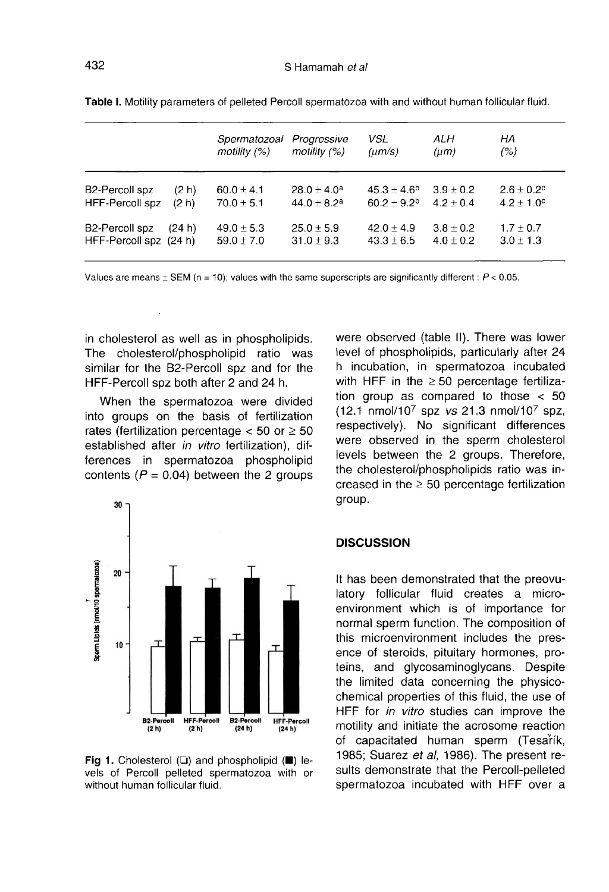|                        |        | Spermatozoal<br>motility $(%)$ | Progressive<br>motility $(%)$ | VSL<br>$(\mu m/s)$ | ALH<br>$(\mu m)$ | НA<br>(% )            |
|------------------------|--------|--------------------------------|-------------------------------|--------------------|------------------|-----------------------|
| <b>B2-Percoll spz</b>  | (2 h)  | 60.0 $\pm$ 4.1                 | $28.0 + 4.0a$                 | $45.3 + 4.6^{b}$   | $3.9 \pm 0.2$    | $2.6 \pm 0.2$ °       |
| HFF-Percoll spz        | (2 h)  | $70.0 + 5.1$                   | $44.0 + 8.2a$                 | $60.2 + 9.2b$      | $4.2 + 0.4$      | $4.2 \pm 1.0^{\circ}$ |
| B2-Percoll spz         | (24 h) | $49.0 \pm 5.3$                 | $25.0 \pm 5.9$                | $42.0 + 4.9$       | $3.8 \pm 0.2$    | $1.7 \pm 0.7$         |
| HFF-Percoll spz (24 h) |        | $59.0 \pm 7.0$                 | $31.0 \pm 9.3$                | $43.3 \pm 6.5$     | $4.0 \pm 0.2$    | $3.0 \pm 1.3$         |

Table I. Motility parameters of pelleted Percoll spermatozoa with and without human follicular fluid.

Values are means  $\pm$  SEM (n = 10); values with the same superscripts are significantly different :  $P$  < 0.05.

in cholesterol as well as in phospholipids. The cholesterol/phospholipid ratio was similar for the B2-Percoll spz and for the HFF-Percoll spz both after 2 and 24 h.

When the spermatozoa were divided into groups on the basis of fertilization rates (fertilization percentage  $<$  50 or  $\geq$  50 established after in vitro fertilization), differences in spermatozoa phospholipid contents ( $P = 0.04$ ) between the 2 groups



Fig 1. Cholesterol  $(\square)$  and phospholipid ( $\square$ ) levels of Percoll pelleted spermatozoa with or without human follicular fluid.

were observed (table II). There was lower level of phospholipids, particularly after 24 h incubation, in spermatozoa incubated with HFF in the  $\geq$  50 percentage fertilization group as compared to those < 50  $(12.1 \text{ nmol}/10^7 \text{ spz vs } 21.3 \text{ nmol}/10^7 \text{ spz},$ respectively). No significant differences were observed in the sperm cholesterol levels between the 2 groups. Therefore, the cholesterol/phospholipids ratio was increased in the  $\geq$  50 percentage fertilization group.

#### **DISCUSSION**

It has been demonstrated that the preovulatory follicular fluid creates a microenvironment which is of importance for normal sperm function. The composition of this microenvironment includes the presence of steroids, pituitary hormones, proteins, and glycosaminoglycans. Despite the limited data concerning the physicochemical properties of this fluid, the use of HFF for in vitro studies can improve the motility and initiate the acrosome reaction of capacitated human sperm (Tesartik, 1985; Suarez et al, 1986). The present results demonstrate that the Percoll-pelleted spermatozoa incubated with HFF over a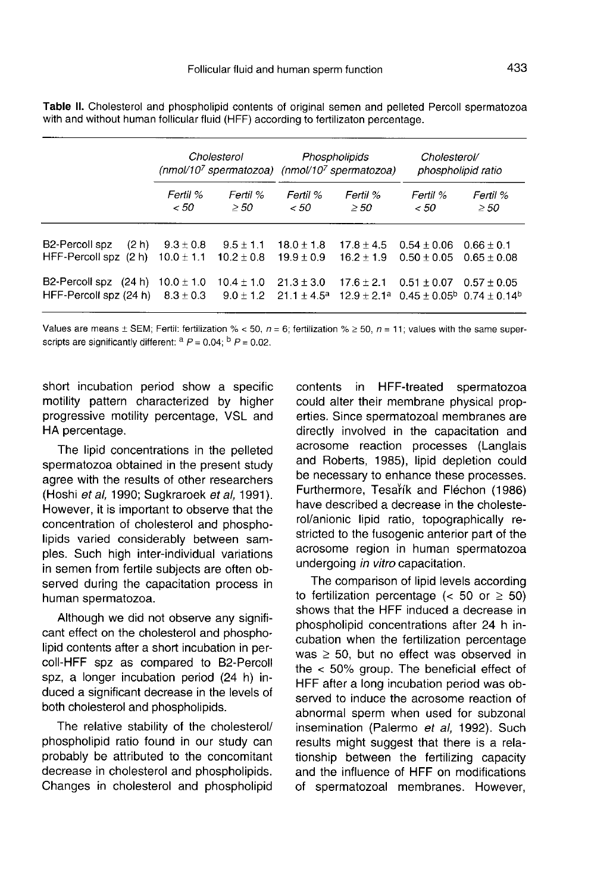|                                                    | Cholesterol<br>$(mmol/107 spermatozoa)$ (nmol/10 <sup>7</sup> spermatozoa) |                                 | Phospholipids                      |                                | Cholesterol/<br>phospholipid ratio                                                  |                               |
|----------------------------------------------------|----------------------------------------------------------------------------|---------------------------------|------------------------------------|--------------------------------|-------------------------------------------------------------------------------------|-------------------------------|
|                                                    | Fertil %<br>< 50                                                           | Ferril %<br>> 50                | Fertil %<br>< 50                   | Fertil %<br>$\geq$ 50          | Fertil %<br>< 50                                                                    | Fertil %<br>$\geq$ 50         |
| B2-Percoll spz<br>(2 h)<br>HFF-Percoll spz (2 h)   | $9.3 \pm 0.8$<br>$10.0 \pm 1.1$                                            | $9.5 \pm 1.1$<br>$10.2 \pm 0.8$ | $18.0 + 1.8$<br>$19.9 \pm 0.9$     | $17.8 + 4.5$<br>$16.2 \pm 1.9$ | $0.54 + 0.06$<br>$0.50 + 0.05$                                                      | $0.66 + 0.1$<br>$0.65 + 0.08$ |
| B2-Percoll spz<br>(24 h)<br>HFF-Percoll spz (24 h) | $10.0 \pm 1.0$<br>$8.3 \pm 0.3$                                            | $10.4 \pm 1.0$<br>$9.0 + 1.2$   | $21.3 \pm 3.0$<br>$21.1 \pm 4.5^a$ | $17.6 \pm 2.1$                 | $0.51 \pm 0.07$<br>$12.9 + 2.1^a$ 0.45 + 0.05 <sup>b</sup> 0.74 + 0.14 <sup>b</sup> | $0.57 + 0.05$                 |

Table II. Cholesterol and phospholipid contents of original semen and pelleted Percoll spermatozoa with and without human follicular fluid (HFF) according to fertilizaton percentage.

Values are means  $\pm$  SEM; Fertil: fertilization % < 50, n = 6; fertilization %  $\geq$  50, n = 11; values with the same superscripts are significantly different:  $a P = 0.04$ ;  $b P = 0.02$ .

short incubation period show a specific motility pattern characterized by higher progressive motility percentage, VSL and HA percentage.

The lipid concentrations in the pelleted spermatozoa obtained in the present study agree with the results of other researchers (Hoshi et al, 1990; Sugkraroek et al, 1991). However, it is important to observe that the concentration of cholesterol and phospholipids varied considerably between samples. Such high inter-individual variations in semen from fertile subjects are often observed during the capacitation process in human spermatozoa.

Although we did not observe any signifi cant effect on the cholesterol and phospholipid contents after a short incubation in percoll-HFF spz as compared to B2-Percoll spz, a longer incubation period (24 h) induced a significant decrease in the levels of both cholesterol and phospholipids.

The relative stability of the cholesterol/ phospholipid ratio found in our study can probably be attributed to the concomitant decrease in cholesterol and phospholipids. Changes in cholesterol and phospholipid

contents in HFF-treated spermatozoa could alter their membrane physical properties. Since spermatozoal membranes are directly involved in the capacitation and acrosome reaction processes (Langlais and Roberts, 1985), lipid depletion could be necessary to enhance these processes. Furthermore, Tesartk and Fléchon (1986) have described a decrease in the cholesterol/anionic lipid ratio, topographically restricted to the fusogenic anterior part of the acrosome region in human spermatozoa undergoing in vitro capacitation.

The comparison of lipid levels according to fertilization percentage ( $<$  50 or  $\geq$  50) shows that the HFF induced a decrease in phospholipid concentrations after 24 h incubation when the fertilization percentage was  $\geq$  50, but no effect was observed in the < 50% group. The beneficial effect of HFF after a long incubation period was observed to induce the acrosome reaction of abnormal sperm when used for subzonal insemination (Palermo et al, 1992). Such results might suggest that there is a relationship between the fertilizing capacity and the influence of HFF on modifications of spermatozoal membranes. However,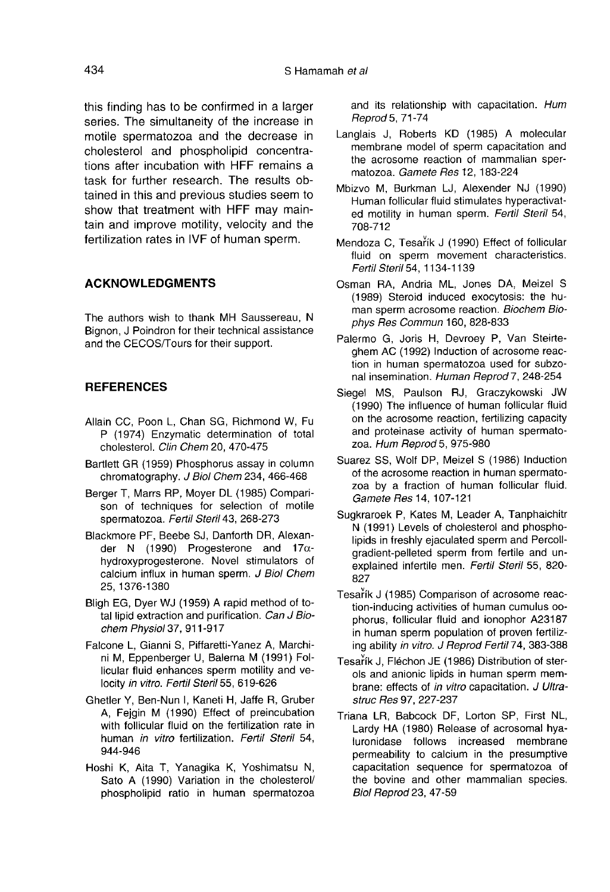this finding has to be confirmed in a larger series. The simultaneity of the increase in motile spermatozoa and the decrease in cholesterol and phospholipid concentrations after incubation with HFF remains a task for further research. The results obtained in this and previous studies seem to show that treatment with HFF may maintain and improve motility, velocity and the fertilization rates in IVF of human sperm.

#### ACKNOWLEDGMENTS

The authors wish to thank MH Saussereau, N Bignon, J Poindron for their technical assistance and the CECOS/Tours for their support.

## **REFERENCES**

- Allain CC, Poon L, Chan SG, Richmond W, Fu P (1974) Enzymatic determination of total cholesterol. Clin Chem 20, 470-475
- Bartlett GR (1959) Phosphorus assay in column chromatography. J Biol Chem 234, 466-468
- Berger T, Marrs RP, Moyer DL (1985) Compari son of techniques for selection of motile spermatozoa. Fettil Steril 43, 268-273
- Blackmore PF, Beebe SJ, Danforth DR, Alexander N (1990) Progesterone and  $17\alpha$ hydroxyprogesterone. Novel stimulators of calcium influx in human sperm. J Biol Chem 25, 1376-1380
- Bligh EG, Dyer WJ (1959) A rapid method of total lipid extraction and purification. Can J Biochem Physiol 37, 911-917
- Falcone L, Gianni S, Piffaretti-Yanez A, Marchini M, Eppenberger U, Balerna M (1991) Follicular fluid enhances sperm motility and velocity in vitro. Fertil Steril 55, 619-626
- Ghetler Y, Ben-Nun I, Kaneti H, Jaffe R, Gruber A, Fejgin M (1990) Effect of preincubation with follicular fluid on the fertilization rate in human in vitro fertilization. Fertil Steril 54, 944-946
- Hoshi K, Aita T, Yanagika K, Yoshimatsu N, Sato A (1990) Variation in the cholesterol/ phospholipid ratio in human spermatozoa

and its relationship with capacitation. Hum Reprod 5, 71-74

- Langlais J, Roberts KD (1985) A molecular membrane model of sperm capacitation and the acrosome reaction of mammalian spermatozoa. Gamete Res 12, 183-224
- Mbizvo M, Burkman LJ, Alexender NJ (1990) Human follicular fluid stimulates hyperactivated motility in human sperm. Fertil Steril 54, 708-712
- Mendoza C, Tesarík J (1990) Effect of follicular fluid on sperm movement characteristics. Fertil Steril 54, 1134-1139
- Osman RA, Andria ML, Jones DA, Meizel S (1989) Steroid induced exocytosis: the human sperm acrosome reaction. Biochem Biophys Res Commun 160, 828-833
- Palermo G, Joris H, Devroey P, Van Steirteghem AC (1992) Induction of acrosome reaction in human spermatozoa used for subzonal insemination. Human Reprod 7, 248-254
- Siegel MS, Paulson RJ, Graczykowski JW (1990) The influence of human follicular fluid on the acrosome reaction, fertilizing capacity and proteinase activity of human spermato-<br>zoa. Hum Reprod 5, 975-980
- Suarez SS, Wolf DP, Meizel S (1986) Induction of the acrosome reaction in human spermato zoa by a fraction of human follicular fluid. Gamete Res 14, 107-121
- Sugkraroek P, Kates M, Leader A, Tanphaichitr N (1991) Levels of cholesterol and phospholipids in freshly ejaculated sperm and Percollgradient-pelleted sperm from fertile and unexplained infertile men. Fertil Steril 55, 820- 827
- Tesartk J (1985) Comparison of acrosome reaction-inducing activities of human cumulus oophorus, follicular fluid and ionophor A23187 in human sperm population of proven fertilizing ability in vitro. J Reprod Fertil 74, 383-388
- Tesarík J, Fléchon JE (1986) Distribution of sterols and anionic lipids in human sperm membrane: effects of in vitro capacitation. J Ultrastruc Res 97, 227-237
- Triana LR, Babcock DF, Lorton SP, First NL, Lardy HA (1980) Release of acrosomal hyaluronidase follows increased membrane permeability to calcium in the presumptive capacitation sequence for spermatozoa of the bovine and other mammalian species. Biol Reprod 23, 47-59